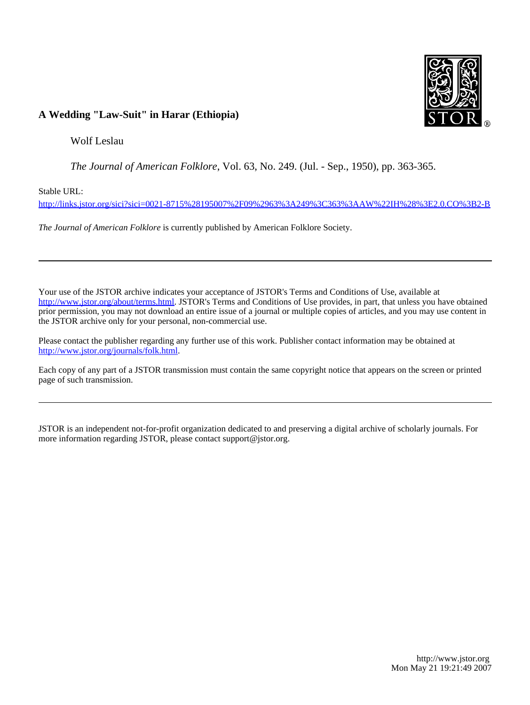

## **A Wedding "Law-Suit" in Harar (Ethiopia)**

Wolf Leslau

*The Journal of American Folklore*, Vol. 63, No. 249. (Jul. - Sep., 1950), pp. 363-365.

Stable URL:

<http://links.jstor.org/sici?sici=0021-8715%28195007%2F09%2963%3A249%3C363%3AAW%22IH%28%3E2.0.CO%3B2-B>

*The Journal of American Folklore* is currently published by American Folklore Society.

Your use of the JSTOR archive indicates your acceptance of JSTOR's Terms and Conditions of Use, available at [http://www.jstor.org/about/terms.html.](http://www.jstor.org/about/terms.html) JSTOR's Terms and Conditions of Use provides, in part, that unless you have obtained prior permission, you may not download an entire issue of a journal or multiple copies of articles, and you may use content in the JSTOR archive only for your personal, non-commercial use.

Please contact the publisher regarding any further use of this work. Publisher contact information may be obtained at [http://www.jstor.org/journals/folk.html.](http://www.jstor.org/journals/folk.html)

Each copy of any part of a JSTOR transmission must contain the same copyright notice that appears on the screen or printed page of such transmission.

JSTOR is an independent not-for-profit organization dedicated to and preserving a digital archive of scholarly journals. For more information regarding JSTOR, please contact support@jstor.org.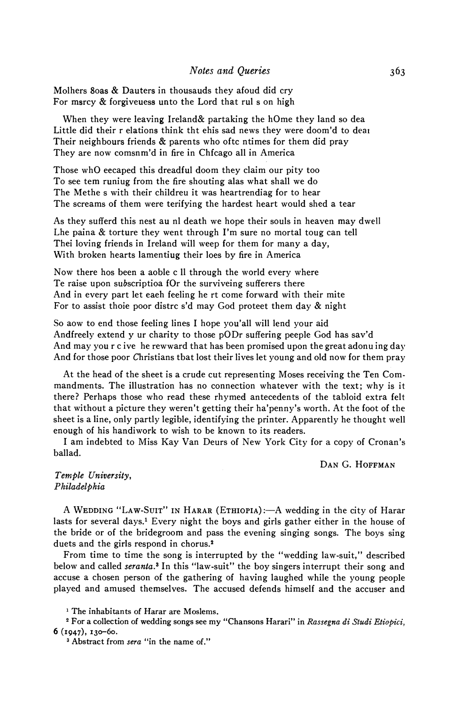## *Notes and Queries*

Molhers 8oas & Dauters in thousauds they afoud did cry For msrcy & forgiveuess unto the Lord that rul s on high

When they were leaving Ireland& partaking the hOme they land so dea Little did their r elations think tht ehis sad news they were doom'd to dear Their neighbours friends & parents who oftc ntimes for them did pray They are now comsnm'd in fire in Chicago all in America

Those whO eecaped this dreadful doom they claim our pity too To see tem runiug from the fire shouting alas what shall we do The Methe s with their childreu it was heartrendiag for to hear The screams of them were terifying the hardest heart would shed a tear

As they sufferd this nest au nl death we hope their souls in heaven may dwell Lhe paina & torture they went through I'm sure no mortal toug can tell Thei loving friends in Ireland will weep for them for many a day, With broken hearts lamentiug their loes by fire in America

Now there hos been **a** aoble c 11 through the world every where Te raise upon subscriptioa for the surviveing sufferers there And in every part let eaeh feeling he rt come forward with their mite For to assist thoie poor distrc s'd may God proteet them day & night

So aow to end those feeling lines I hope you'all will lend your aid Andfreely extend y ur charity to those pODr suffering peeple God has sav'd And may you r c ive he rewward that has been promised upon the great adonu ing day And for those poor Christians tbat lost their lives let young and old now for them pray

At the head of the sheet is a crude cut representing Moses receiving the Ten Commandments. The illustration has no connection whatever with the text; why is it there? Perhaps those who read these rhymed antecedents of the tabloid extra felt that without a picture they weren't getting their ha'penny's worth. At the foot of the sheet is a line, only partly legible, identifying the printer. Apparently he thought well enough of his handiwork to wish to be known to its readers.

I am indebted to Miss Kay Van Deurs of New York City for a copy of Cronan's ballad.

## DAN G. HOFFMAN

*Temple University, Philadelphia* 

A WEDDING "LAW-SUIT'' IN HARAR (ETHIOPIA):-A wedding in the city of Harar lasts for several days.' Every night the boys and girls gather either in the house of the bride or of the bridegroom and pass the evening singing songs. The boys sing duets and the girls respond in chorus.<sup>2</sup>

From time to time the song is interrupted by the "wedding law-suit," described below and called *seranta*.<sup>3</sup> In this "law-suit" the boy singers interrupt their song and accuse a chosen person of the gathering of having laughed while the young people played and amused themselves. The accused defends himself and the accuser and

<sup>1</sup> The inhabitants of Harar are Moslems.

For a collection of wedding songs see my "Chansons Harari" in **Rassegna** *di Studi Etiopici,* **6** (**1947**), **130-60.** 

Abstract from *sera* "in the name of."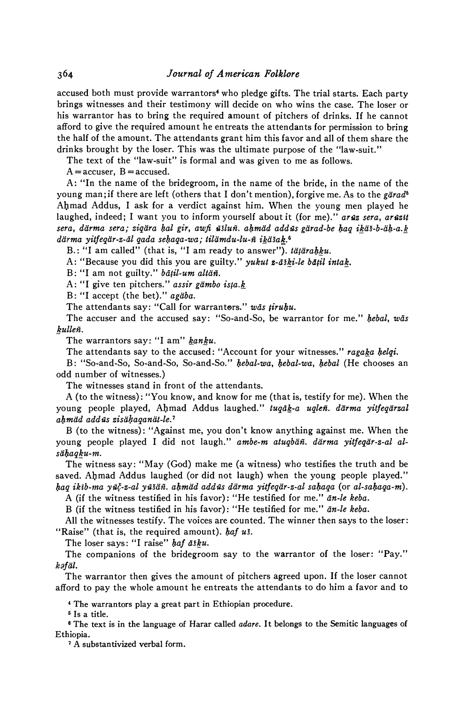accused both must provide warrantors<sup>4</sup> who pledge gifts. The trial starts. Each party brings witnesses and their testimony will decide on who wins the case. The loser or his warrantor has to bring the required amount of pitchers of drinks. If he cannot afford to give the required amount he entreats the attendants for permission to bring the half of the amount. The attendants grant him this favor and all of them share the drinks brought by the loser. This was the ultimate purpose of the "law-suit."

The text of the "law-suit" is formal and was given to me as follows.

 $A =$ accuser,  $B =$ accused.

A: "In the name of the bridegroom, in the name of the bride, in the name of the young man; if there are left (others that I don't mention), forgive me. As to the *garad5*  Ahmad Addus, I ask for a verdict against him. When the young men played he laughed, indeed; I want you to inform yourself about it (for me)." *araz sera*, *arazit sera, darma sera; zipara bal gir, awfi iislufi. abmad addas garad-be hap i\_ka3-b-ab-a.\_k*  därma yitfeqär-z-āl qada sehaqa-wa; tilämdu-lu-ñ ikäšak.<sup>6</sup>

B.: "I am called" (that is, "I am ready to answer"). *tätärahku*.

A: "Because you did this you are guilty." *yukut e-dfki-le bdfil intab.* 

B: "I am not guilty." *bāṭil-um altäñ*.

A: "I give ten pitchers." *assir gämbo ista.k* 

B: "I accept (the bet)." *agaba.* 

The attendants say: "Call for warrantors." wās tiruhu.

The accuser and the accused say: "So-and-so, be warrantor for me." *bebal, was kullefi.* 

The warrantors say: "I am" *kanku.* 

The attendants say to the accused: "Account for your witnesses." *ragaka helpi.* 

B: "So-and-so, So-and-So, So-and-so." *bebal-wa, bebal-wa, bebal* (He chooses an odd number of witnesses.)

The witnesses stand in front of the attendants.

A (to the witness): "You know, and know for me (that is, testify for me). When the young people played, Abmad Addus laughed." *tuqdk-a uplefi. ddrma yitfeqdrzal*   $ahm\ddot{a}d$  add us zisähaganät-le.<sup>7</sup>

B (to the witness): "Against me, you don't know anything against me. When the young people played I did not laugh." *ambe-m atupbafi, darma yitfepdr-2-a1 alsdhap\_ku-m.* 

The witness say: "May (God) make me (a witness) who testifies the truth and be saved. Abmad Addus laughed (or did not laugh) when the young people played." *hap ikib-ma ysE-z-a1 y6SaA. abmad addas darma yitfepar-z-a1 sabapa* (or *al-sabapa-m).* 

A (if the witness testified in his favor): "He testified for me." *dn-le keba.* 

B (if the witness testified in his favor): "He testified for me." *an-le keba.* 

All the witnesses testify. The voices are counted. The winner then says to the loser: "Raise" (that is, the required amount). *haf us*.

The loser says: "I raise" haf āsku.

The companions of the bridegroom say to the warrantor of the loser: "Pay." *kafal.* 

The warrantor then gives the amount of pitchers agreed upon. If the loser cannot afford to pay the whole amount he entreats the attendants to do him a favor and to

The warrantors play a great part in Ethiopian procedure.

<sup>5</sup> Is a title.

**<sup>6</sup>**The text is in the language of Harar called *adare.* It belongs to the Semitic languages of Ethiopia.

**A** substantivized verbal form.